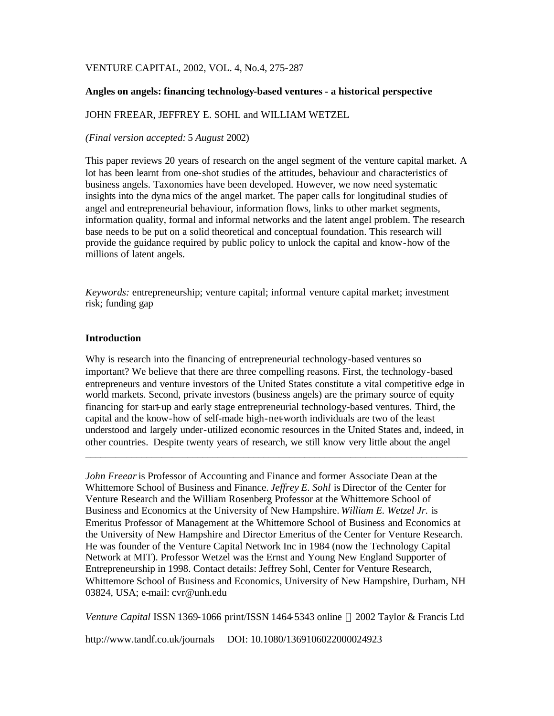# VENTURE CAPITAL, 2002, VOL. 4, No.4, 275-287

## **Angles on angels: financing technology-based ventures - a historical perspective**

# JOHN FREEAR, JEFFREY E. SOHL and WILLIAM WETZEL

### *(Final version accepted:* 5 *August* 2002)

This paper reviews 20 years of research on the angel segment of the venture capital market. A lot has been learnt from one-shot studies of the attitudes, behaviour and characteristics of business angels. Taxonomies have been developed. However, we now need systematic insights into the dyna mics of the angel market. The paper calls for longitudinal studies of angel and entrepreneurial behaviour, information flows, links to other market segments, information quality, formal and informal networks and the latent angel problem. The research base needs to be put on a solid theoretical and conceptual foundation. This research will provide the guidance required by public policy to unlock the capital and know-how of the millions of latent angels.

*Keywords:* entrepreneurship; venture capital; informal venture capital market; investment risk; funding gap

## **Introduction**

Why is research into the financing of entrepreneurial technology-based ventures so important? We believe that there are three compelling reasons. First, the technology-based entrepreneurs and venture investors of the United States constitute a vital competitive edge in world markets. Second, private investors (business angels) are the primary source of equity financing for start-up and early stage entrepreneurial technology-based ventures. Third, the capital and the know-how of self-made high-net-worth individuals are two of the least understood and largely under-utilized economic resources in the United States and, indeed, in other countries. Despite twenty years of research, we still know very little about the angel

\_\_\_\_\_\_\_\_\_\_\_\_\_\_\_\_\_\_\_\_\_\_\_\_\_\_\_\_\_\_\_\_\_\_\_\_\_\_\_\_\_\_\_\_\_\_\_\_\_\_\_\_\_\_\_\_\_\_\_\_\_\_\_\_\_\_\_\_\_\_\_\_\_\_\_

*John Freear* is Professor of Accounting and Finance and former Associate Dean at the Whittemore School of Business and Finance. *Jeffrey E. Sohl* is Director of the Center for Venture Research and the William Rosenberg Professor at the Whittemore School of Business and Economics at the University of New Hampshire. *William E. Wetzel Jr.* is Emeritus Professor of Management at the Whittemore School of Business and Economics at the University of New Hampshire and Director Emeritus of the Center for Venture Research. He was founder of the Venture Capital Network Inc in 1984 (now the Technology Capital Network at MIT). Professor Wetzel was the Ernst and Young New England Supporter of Entrepreneurship in 1998. Contact details: Jeffrey Sohl, Center for Venture Research, Whittemore School of Business and Economics, University of New Hampshire, Durham, NH 03824, USA; e-mail: cvr@unh.edu

*Venture Capital ISSN 1369-1066 print/ISSN 1464-5343 online* © 2002 Taylor & Francis Ltd

http://www.tandf.co.uk/journals DOI: 10.1080/1369106022000024923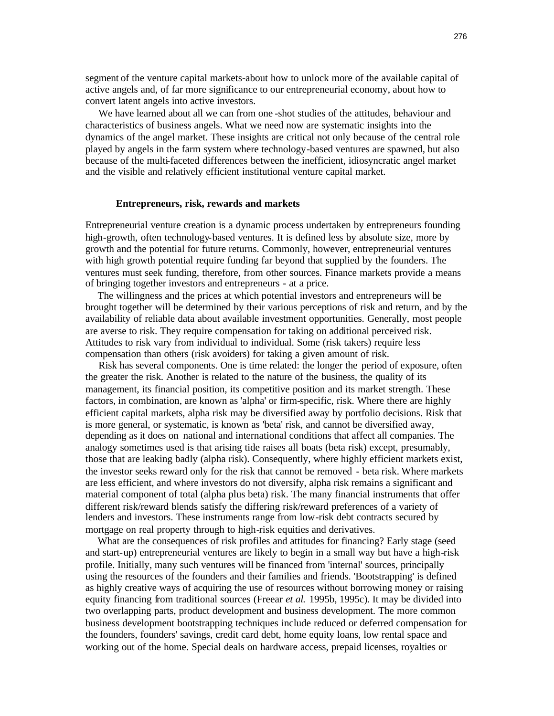segment of the venture capital markets-about how to unlock more of the available capital of active angels and, of far more significance to our entrepreneurial economy, about how to convert latent angels into active investors.

 We have learned about all we can from one -shot studies of the attitudes, behaviour and characteristics of business angels. What we need now are systematic insights into the dynamics of the angel market. These insights are critical not only because of the central role played by angels in the farm system where technology-based ventures are spawned, but also because of the multi-faceted differences between the inefficient, idiosyncratic angel market and the visible and relatively efficient institutional venture capital market.

#### **Entrepreneurs, risk, rewards and markets**

Entrepreneurial venture creation is a dynamic process undertaken by entrepreneurs founding high-growth, often technology-based ventures. It is defined less by absolute size, more by growth and the potential for future returns. Commonly, however, entrepreneurial ventures with high growth potential require funding far beyond that supplied by the founders. The ventures must seek funding, therefore, from other sources. Finance markets provide a means of bringing together investors and entrepreneurs - at a price.

 The willingness and the prices at which potential investors and entrepreneurs will be brought together will be determined by their various perceptions of risk and return, and by the availability of reliable data about available investment opportunities. Generally, most people are averse to risk. They require compensation for taking on additional perceived risk. Attitudes to risk vary from individual to individual. Some (risk takers) require less compensation than others (risk avoiders) for taking a given amount of risk.

 Risk has several components. One is time related: the longer the period of exposure, often the greater the risk. Another is related to the nature of the business, the quality of its management, its financial position, its competitive position and its market strength. These factors, in combination, are known as 'alpha' or firm-specific, risk. Where there are highly efficient capital markets, alpha risk may be diversified away by portfolio decisions. Risk that is more general, or systematic, is known as 'beta' risk, and cannot be diversified away, depending as it does on national and international conditions that affect all companies. The analogy sometimes used is that arising tide raises all boats (beta risk) except, presumably, those that are leaking badly (alpha risk). Consequently, where highly efficient markets exist, the investor seeks reward only for the risk that cannot be removed - beta risk. Where markets are less efficient, and where investors do not diversify, alpha risk remains a significant and material component of total (alpha plus beta) risk. The many financial instruments that offer different risk/reward blends satisfy the differing risk/reward preferences of a variety of lenders and investors. These instruments range from low-risk debt contracts secured by mortgage on real property through to high-risk equities and derivatives.

 What are the consequences of risk profiles and attitudes for financing? Early stage (seed and start-up) entrepreneurial ventures are likely to begin in a small way but have a high-risk profile. Initially, many such ventures will be financed from 'internal' sources, principally using the resources of the founders and their families and friends. 'Bootstrapping' is defined as highly creative ways of acquiring the use of resources without borrowing money or raising equity financing from traditional sources (Freear *et al.* 1995b, 1995c). It may be divided into two overlapping parts, product development and business development. The more common business development bootstrapping techniques include reduced or deferred compensation for the founders, founders' savings, credit card debt, home equity loans, low rental space and working out of the home. Special deals on hardware access, prepaid licenses, royalties or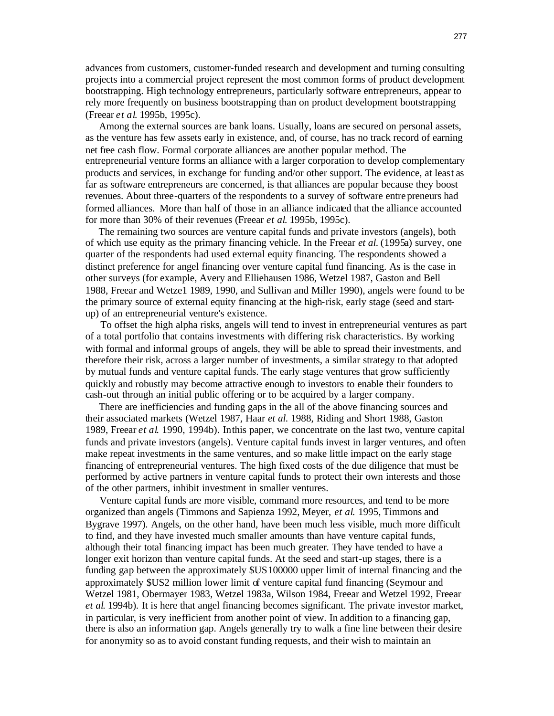advances from customers, customer-funded research and development and turning consulting projects into a commercial project represent the most common forms of product development bootstrapping. High technology entrepreneurs, particularly software entrepreneurs, appear to rely more frequently on business bootstrapping than on product development bootstrapping (Freear *et al.* 1995b, 1995c).

 Among the external sources are bank loans. Usually, loans are secured on personal assets, as the venture has few assets early in existence, and, of course, has no track record of earning net free cash flow. Formal corporate alliances are another popular method. The entrepreneurial venture forms an alliance with a larger corporation to develop complementary products and services, in exchange for funding and/or other support. The evidence, at least as far as software entrepreneurs are concerned, is that alliances are popular because they boost revenues. About three-quarters of the respondents to a survey of software entre preneurs had formed alliances. More than half of those in an alliance indicated that the alliance accounted for more than 30% of their revenues (Freear *et al.* 1995b, 1995c).

 The remaining two sources are venture capital funds and private investors (angels), both of which use equity as the primary financing vehicle. In the Freear *et al.* (1995a) survey, one quarter of the respondents had used external equity financing. The respondents showed a distinct preference for angel financing over venture capital fund financing. As is the case in other surveys (for example, Avery and Elliehausen 1986, Wetzel 1987, Gaston and Bell 1988, Freear and Wetze1 1989, 1990, and Sullivan and Miller 1990), angels were found to be the primary source of external equity financing at the high-risk, early stage (seed and startup) of an entrepreneurial venture's existence.

 To offset the high alpha risks, angels will tend to invest in entrepreneurial ventures as part of a total portfolio that contains investments with differing risk characteristics. By working with formal and informal groups of angels, they will be able to spread their investments, and therefore their risk, across a larger number of investments, a similar strategy to that adopted by mutual funds and venture capital funds. The early stage ventures that grow sufficiently quickly and robustly may become attractive enough to investors to enable their founders to cash-out through an initial public offering or to be acquired by a larger company.

 There are inefficiencies and funding gaps in the all of the above financing sources and their associated markets (Wetzel 1987, Haar *et al.* 1988, Riding and Short 1988, Gaston 1989, Freear *et al.* 1990, 1994b). Inthis paper, we concentrate on the last two, venture capital funds and private investors (angels). Venture capital funds invest in larger ventures, and often make repeat investments in the same ventures, and so make little impact on the early stage financing of entrepreneurial ventures. The high fixed costs of the due diligence that must be performed by active partners in venture capital funds to protect their own interests and those of the other partners, inhibit investment in smaller ventures.

 Venture capital funds are more visible, command more resources, and tend to be more organized than angels (Timmons and Sapienza 1992, Meyer, *et al.* 1995, Timmons and Bygrave 1997). Angels, on the other hand, have been much less visible, much more difficult to find, and they have invested much smaller amounts than have venture capital funds, although their total financing impact has been much greater. They have tended to have a longer exit horizon than venture capital funds. At the seed and start-up stages, there is a funding gap between the approximately \$US100000 upper limit of internal financing and the approximately \$US2 million lower limit of venture capital fund financing (Seymour and Wetzel 1981, Obermayer 1983, Wetzel 1983a, Wilson 1984, Freear and Wetzel 1992, Freear *et al.* 1994b). It is here that angel financing becomes significant. The private investor market, in particular, is very inefficient from another point of view. In addition to a financing gap, there is also an information gap. Angels generally try to walk a fine line between their desire for anonymity so as to avoid constant funding requests, and their wish to maintain an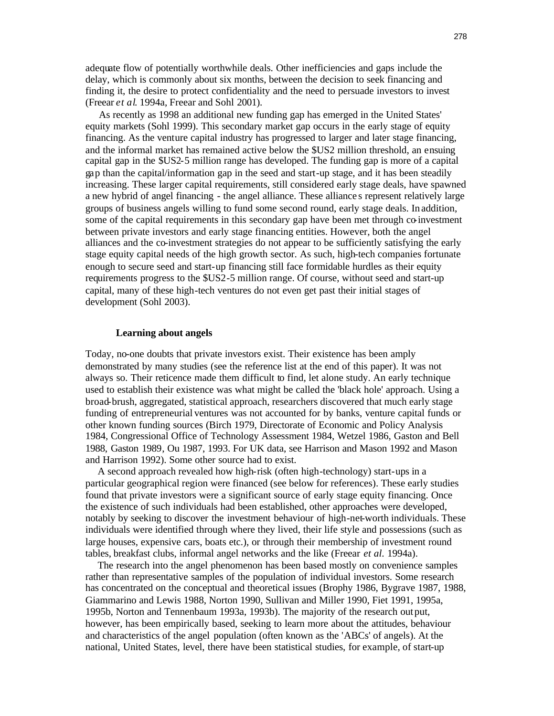adequate flow of potentially worthwhile deals. Other inefficiencies and gaps include the delay, which is commonly about six months, between the decision to seek financing and finding it, the desire to protect confidentiality and the need to persuade investors to invest (Freear *et al.* 1994a, Freear and Sohl 2001).

 As recently as 1998 an additional new funding gap has emerged in the United States' equity markets (Sohl 1999). This secondary market gap occurs in the early stage of equity financing. As the venture capital industry has progressed to larger and later stage financing, and the informal market has remained active below the \$US2 million threshold, an ensuing capital gap in the \$US2-5 million range has developed. The funding gap is more of a capital gap than the capital/information gap in the seed and start-up stage, and it has been steadily increasing. These larger capital requirements, still considered early stage deals, have spawned a new hybrid of angel financing - the angel alliance. These alliance s represent relatively large groups of business angels willing to fund some second round, early stage deals. In addition, some of the capital requirements in this secondary gap have been met through co-investment between private investors and early stage financing entities. However, both the angel alliances and the co-investment strategies do not appear to be sufficiently satisfying the early stage equity capital needs of the high growth sector. As such, high-tech companies fortunate enough to secure seed and start-up financing still face formidable hurdles as their equity requirements progress to the \$US2-5 million range. Of course, without seed and start-up capital, many of these high-tech ventures do not even get past their initial stages of development (Sohl 2003).

## **Learning about angels**

Today, no-one doubts that private investors exist. Their existence has been amply demonstrated by many studies (see the reference list at the end of this paper). It was not always so. Their reticence made them difficult to find, let alone study. An early technique used to establish their existence was what might be called the 'black hole' approach. Using a broad-brush, aggregated, statistical approach, researchers discovered that much early stage funding of entrepreneurial ventures was not accounted for by banks, venture capital funds or other known funding sources (Birch 1979, Directorate of Economic and Policy Analysis 1984, Congressional Office of Technology Assessment 1984, Wetzel 1986, Gaston and Bell 1988, Gaston 1989, Ou 1987, 1993. For UK data, see Harrison and Mason 1992 and Mason and Harrison 1992). Some other source had to exist.

 A second approach revealed how high-risk (often high-technology) start-ups in a particular geographical region were financed (see below for references). These early studies found that private investors were a significant source of early stage equity financing. Once the existence of such individuals had been established, other approaches were developed, notably by seeking to discover the investment behaviour of high-net-worth individuals. These individuals were identified through where they lived, their life style and possessions (such as large houses, expensive cars, boats etc.), or through their membership of investment round tables, breakfast clubs, informal angel networks and the like (Freear *et al.* 1994a).

 The research into the angel phenomenon has been based mostly on convenience samples rather than representative samples of the population of individual investors. Some research has concentrated on the conceptual and theoretical issues (Brophy 1986, Bygrave 1987, 1988, Giammarino and Lewis 1988, Norton 1990, Sullivan and Miller 1990, Fiet 1991, 1995a, 1995b, Norton and Tennenbaum 1993a, 1993b). The majority of the research out put, however, has been empirically based, seeking to learn more about the attitudes, behaviour and characteristics of the angel population (often known as the 'ABCs' of angels). At the national, United States, level, there have been statistical studies, for example, of start-up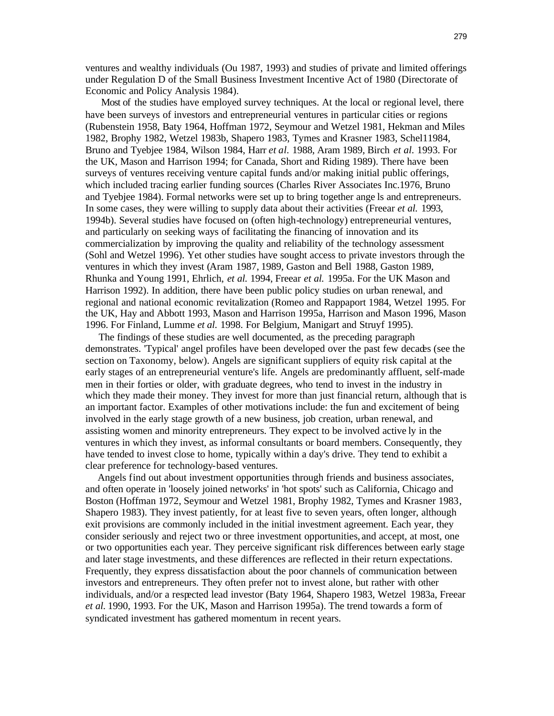ventures and wealthy individuals (Ou 1987, 1993) and studies of private and limited offerings under Regulation D of the Small Business Investment Incentive Act of 1980 (Directorate of Economic and Policy Analysis 1984).

 Most of the studies have employed survey techniques. At the local or regional level, there have been surveys of investors and entrepreneurial ventures in particular cities or regions (Rubenstein 1958, Baty 1964, Hoffman 1972, Seymour and Wetzel 1981, Hekman and Miles 1982, Brophy 1982, Wetzel 1983b, Shapero 1983, Tymes and Krasner 1983, Schel11984, Bruno and Tyebjee 1984, Wilson 1984, Harr *et al.* 1988, Aram 1989, Birch *et al.* 1993. For the UK, Mason and Harrison 1994; for Canada, Short and Riding 1989). There have been surveys of ventures receiving venture capital funds and/or making initial public offerings, which included tracing earlier funding sources (Charles River Associates Inc.1976, Bruno and Tyebjee 1984). Formal networks were set up to bring together ange ls and entrepreneurs. In some cases, they were willing to supply data about their activities (Freear *et al.* 1993, 1994b). Several studies have focused on (often high-technology) entrepreneurial ventures, and particularly on seeking ways of facilitating the financing of innovation and its commercialization by improving the quality and reliability of the technology assessment (Sohl and Wetzel 1996). Yet other studies have sought access to private investors through the ventures in which they invest (Aram 1987, 1989, Gaston and Bell 1988, Gaston 1989, Rhunka and Young 1991, Ehrlich, *et al.* 1994, Freear *et al.* 1995a. For the UK Mason and Harrison 1992). In addition, there have been public policy studies on urban renewal, and regional and national economic revitalization (Romeo and Rappaport 1984, Wetzel 1995. For the UK, Hay and Abbott 1993, Mason and Harrison 1995a, Harrison and Mason 1996, Mason 1996. For Finland, Lumme *et al.* 1998. For Belgium, Manigart and Struyf 1995).

 The findings of these studies are well documented, as the preceding paragraph demonstrates. 'Typical' angel profiles have been developed over the past few decades (see the section on Taxonomy, below). Angels are significant suppliers of equity risk capital at the early stages of an entrepreneurial venture's life. Angels are predominantly affluent, self-made men in their forties or older, with graduate degrees, who tend to invest in the industry in which they made their money. They invest for more than just financial return, although that is an important factor. Examples of other motivations include: the fun and excitement of being involved in the early stage growth of a new business, job creation, urban renewal, and assisting women and minority entrepreneurs. They expect to be involved active ly in the ventures in which they invest, as informal consultants or board members. Consequently, they have tended to invest close to home, typically within a day's drive. They tend to exhibit a clear preference for technology-based ventures.

 Angels find out about investment opportunities through friends and business associates, and often operate in 'loosely joined networks' in 'hot spots' such as California, Chicago and Boston (Hoffman 1972, Seymour and Wetzel 1981, Brophy 1982, Tymes and Krasner 1983, Shapero 1983). They invest patiently, for at least five to seven years, often longer, although exit provisions are commonly included in the initial investment agreement. Each year, they consider seriously and reject two or three investment opportunities, and accept, at most, one or two opportunities each year. They perceive significant risk differences between early stage and later stage investments, and these differences are reflected in their return expectations. Frequently, they express dissatisfaction about the poor channels of communication between investors and entrepreneurs. They often prefer not to invest alone, but rather with other individuals, and/or a respected lead investor (Baty 1964, Shapero 1983, Wetzel 1983a, Freear *et al.* 1990, 1993. For the UK, Mason and Harrison 1995a). The trend towards a form of syndicated investment has gathered momentum in recent years.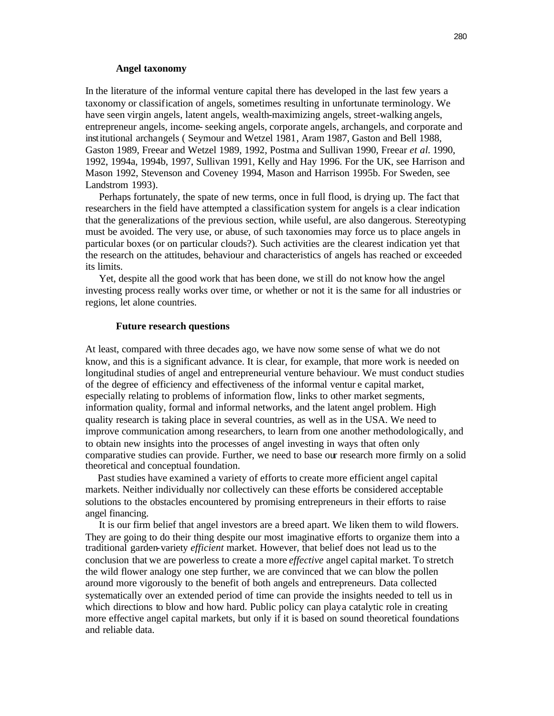#### **Angel taxonomy**

In the literature of the informal venture capital there has developed in the last few years a taxonomy or classification of angels, sometimes resulting in unfortunate terminology. We have seen virgin angels, latent angels, wealth-maximizing angels, street-walking angels, entrepreneur angels, income- seeking angels, corporate angels, archangels, and corporate and institutional archangels ( Seymour and Wetzel 1981, Aram 1987, Gaston and Bell 1988, Gaston 1989, Freear and Wetzel 1989, 1992, Postma and Sullivan 1990, Freear *et al.* 1990, 1992, 1994a, 1994b, 1997, Sullivan 1991, Kelly and Hay 1996. For the UK, see Harrison and Mason 1992, Stevenson and Coveney 1994, Mason and Harrison 1995b. For Sweden, see Landstrom 1993).

 Perhaps fortunately, the spate of new terms, once in full flood, is drying up. The fact that researchers in the field have attempted a classification system for angels is a clear indication that the generalizations of the previous section, while useful, are also dangerous. Stereotyping must be avoided. The very use, or abuse, of such taxonomies may force us to place angels in particular boxes (or on particular clouds?). Such activities are the clearest indication yet that the research on the attitudes, behaviour and characteristics of angels has reached or exceeded its limits.

 Yet, despite all the good work that has been done, we still do not know how the angel investing process really works over time, or whether or not it is the same for all industries or regions, let alone countries.

#### **Future research questions**

At least, compared with three decades ago, we have now some sense of what we do not know, and this is a significant advance. It is clear, for example, that more work is needed on longitudinal studies of angel and entrepreneurial venture behaviour. We must conduct studies of the degree of efficiency and effectiveness of the informal ventur e capital market, especially relating to problems of information flow, links to other market segments, information quality, formal and informal networks, and the latent angel problem. High quality research is taking place in several countries, as well as in the USA. We need to improve communication among researchers, to learn from one another methodologically, and to obtain new insights into the processes of angel investing in ways that often only comparative studies can provide. Further, we need to base our research more firmly on a solid theoretical and conceptual foundation.

 Past studies have examined a variety of efforts to create more efficient angel capital markets. Neither individually nor collectively can these efforts be considered acceptable solutions to the obstacles encountered by promising entrepreneurs in their efforts to raise angel financing.

 It is our firm belief that angel investors are a breed apart. We liken them to wild flowers. They are going to do their thing despite our most imaginative efforts to organize them into a traditional garden-variety *efficient* market. However, that belief does not lead us to the conclusion that we are powerless to create a more *effective* angel capital market. To stretch the wild flower analogy one step further, we are convinced that we can blow the pollen around more vigorously to the benefit of both angels and entrepreneurs. Data collected systematically over an extended period of time can provide the insights needed to tell us in which directions to blow and how hard. Public policy can playa catalytic role in creating more effective angel capital markets, but only if it is based on sound theoretical foundations and reliable data.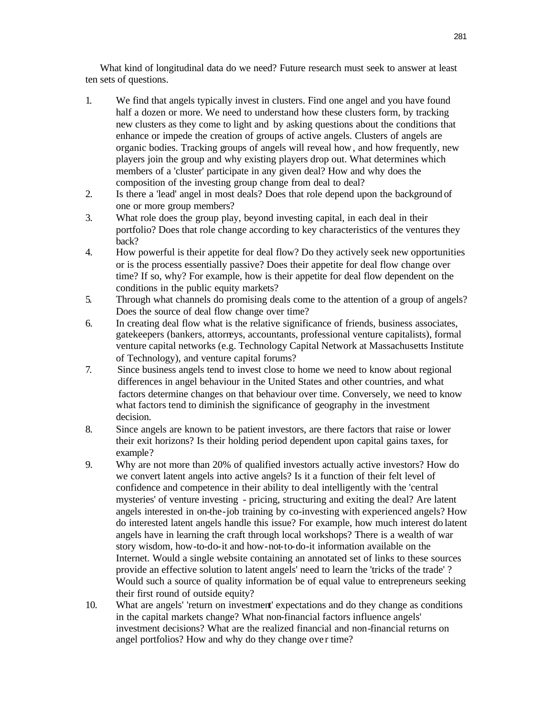What kind of longitudinal data do we need? Future research must seek to answer at least ten sets of questions.

- 1. We find that angels typically invest in clusters. Find one angel and you have found half a dozen or more. We need to understand how these clusters form, by tracking new clusters as they come to light and by asking questions about the conditions that enhance or impede the creation of groups of active angels. Clusters of angels are organic bodies. Tracking groups of angels will reveal how, and how frequently, new players join the group and why existing players drop out. What determines which members of a 'cluster' participate in any given deal? How and why does the composition of the investing group change from deal to deal?
- 2. Is there a 'lead' angel in most deals? Does that role depend upon the background of one or more group members?
- 3. What role does the group play, beyond investing capital, in each deal in their portfolio? Does that role change according to key characteristics of the ventures they back?
- 4. How powerful is their appetite for deal flow? Do they actively seek new opportunities or is the process essentially passive? Does their appetite for deal flow change over time? If so, why? For example, how is their appetite for deal flow dependent on the conditions in the public equity markets?
- 5. Through what channels do promising deals come to the attention of a group of angels? Does the source of deal flow change over time?
- 6. In creating deal flow what is the relative significance of friends, business associates, gatekeepers (bankers, attorneys, accountants, professional venture capitalists), formal venture capital networks (e.g. Technology Capital Network at Massachusetts Institute of Technology), and venture capital forums?
- 7. Since business angels tend to invest close to home we need to know about regional differences in angel behaviour in the United States and other countries, and what factors determine changes on that behaviour over time. Conversely, we need to know what factors tend to diminish the significance of geography in the investment decision.
- 8. Since angels are known to be patient investors, are there factors that raise or lower their exit horizons? Is their holding period dependent upon capital gains taxes, for example?
- 9. Why are not more than 20% of qualified investors actually active investors? How do we convert latent angels into active angels? Is it a function of their felt level of confidence and competence in their ability to deal intelligently with the 'central mysteries' of venture investing - pricing, structuring and exiting the deal? Are latent angels interested in on-the-job training by co-investing with experienced angels? How do interested latent angels handle this issue? For example, how much interest do latent angels have in learning the craft through local workshops? There is a wealth of war story wisdom, how-to-do-it and how-not-to-do-it information available on the Internet. Would a single website containing an annotated set of links to these sources provide an effective solution to latent angels' need to learn the 'tricks of the trade' ? Would such a source of quality information be of equal value to entrepreneurs seeking their first round of outside equity?
- 10. What are angels' 'return on investment' expectations and do they change as conditions in the capital markets change? What non-financial factors influence angels' investment decisions? What are the realized financial and non-financial returns on angel portfolios? How and why do they change over time?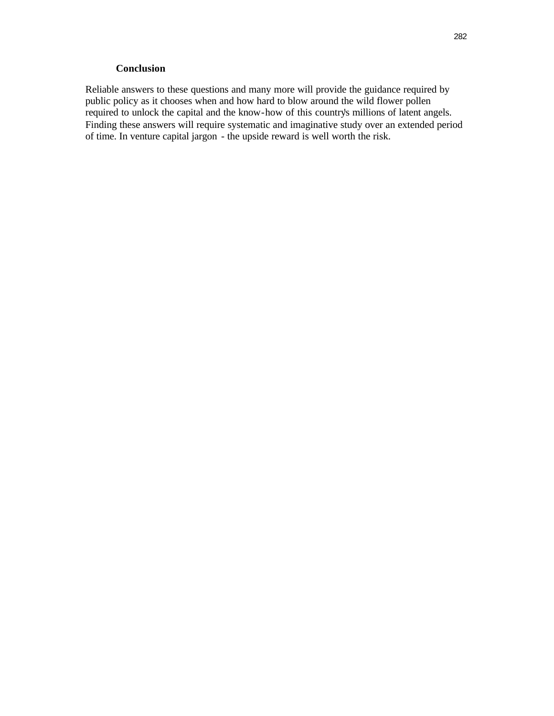# **Conclusion**

Reliable answers to these questions and many more will provide the guidance required by public policy as it chooses when and how hard to blow around the wild flower pollen required to unlock the capital and the know-how of this country's millions of latent angels. Finding these answers will require systematic and imaginative study over an extended period of time. In venture capital jargon - the upside reward is well worth the risk.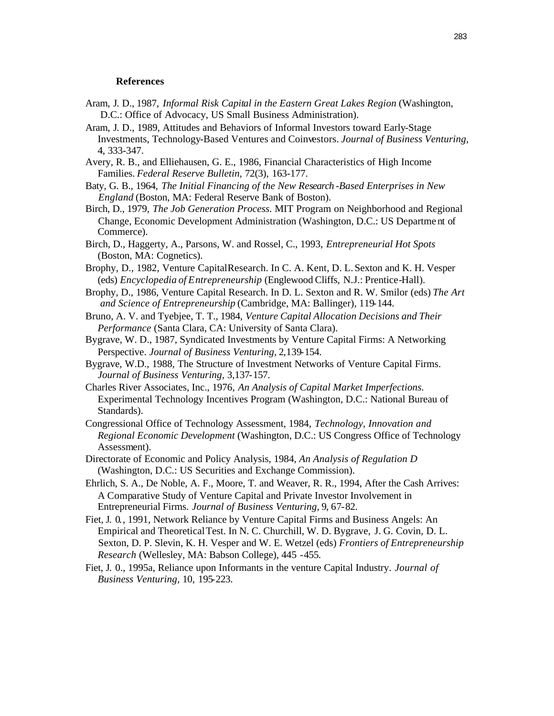#### **References**

- Aram, J. D., 1987, *Informal Risk Capital in the Eastern Great Lakes Region* (Washington, D.C.: Office of Advocacy, US Small Business Administration).
- Aram, J. D., 1989, Attitudes and Behaviors of Informal Investors toward Early-Stage Investments, Technology-Based Ventures and Coinvestors. *Journal of Business Venturing,* 4, 333-347.
- Avery, R. B., and Elliehausen, G. E., 1986, Financial Characteristics of High Income Families. *Federal Reserve Bulletin,* 72(3), 163-177.
- Baty, G. B., 1964, *The Initial Financing of the New Research -Based Enterprises in New England* (Boston, MA: Federal Reserve Bank of Boston).
- Birch, D., 1979, *The Job Generation Process.* MIT Program on Neighborhood and Regional Change, Economic Development Administration (Washington, D.C.: US Departme nt of Commerce).
- Birch, D., Haggerty, A., Parsons, W. and Rossel, C., 1993, *Entrepreneurial Hot Spots* (Boston, MA: Cognetics).
- Brophy, D., 1982, Venture Capital Research. In C. A. Kent, D. L. Sexton and K. H. Vesper (eds) *Encyclopedia of Entrepreneurship* (Englewood Cliffs, N.J.: Prentice-Hall).
- Brophy, D., 1986, Venture Capital Research. In D. L. Sexton and R. W. Smilor (eds) *The Art and Science of Entrepreneurship* (Cambridge, MA: Ballinger), 119-144.
- Bruno, A. V. and Tyebjee, T. T., 1984, *Venture Capital Allocation Decisions and Their Performance* (Santa Clara, CA: University of Santa Clara).
- Bygrave, W. D., 1987, Syndicated Investments by Venture Capital Firms: A Networking Perspective. *Journal of Business Venturing,* 2,139-154.
- Bygrave, W.D., 1988, The Structure of Investment Networks of Venture Capital Firms. *Journal of Business Venturing,* 3,137-157.
- Charles River Associates, Inc., 1976, *An Analysis of Capital Market Imperfections.* Experimental Technology Incentives Program (Washington, D.C.: National Bureau of Standards).
- Congressional Office of Technology Assessment, 1984, *Technology, Innovation and Regional Economic Development* (Washington, D.C.: US Congress Office of Technology Assessment).
- Directorate of Economic and Policy Analysis, 1984, *An Analysis of Regulation D* (Washington, D.C.: US Securities and Exchange Commission).
- Ehrlich, S. A., De Noble, A. F., Moore, T. and Weaver, R. R., 1994, After the Cash Arrives: A Comparative Study of Venture Capital and Private Investor Involvement in Entrepreneurial Firms. *Journal of Business Venturing,* 9, 67-82.
- Fiet, J. 0., 1991, Network Reliance by Venture Capital Firms and Business Angels: An Empirical and Theoretical Test. In N. C. Churchill, W. D. Bygrave, J. G. Covin, D. L. Sexton, D. P. Slevin, K. H. Vesper and W. E. Wetzel (eds) *Frontiers of Entrepreneurship Research* (Wellesley, MA: Babson College), 445 -455.
- Fiet, J. 0., 1995a, Reliance upon Informants in the venture Capital Industry. *Journal of Business Venturing,* 10, 195-223.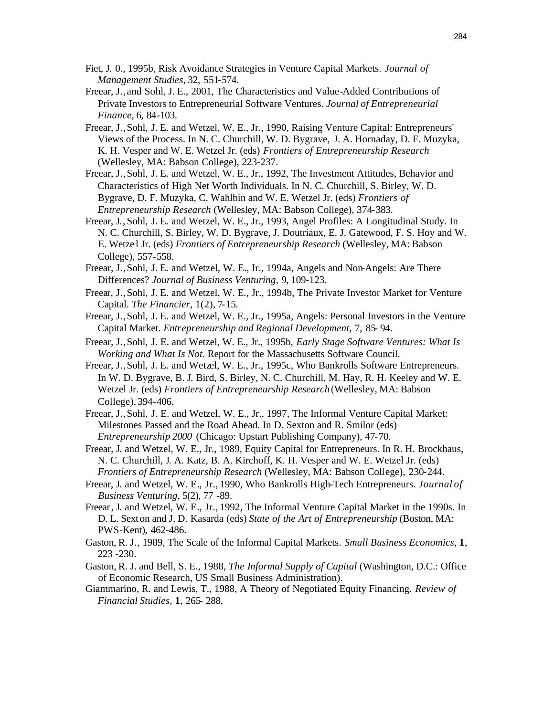- Fiet, J. 0., 1995b, Risk Avoidance Strategies in Venture Capital Markets. *Journal of Management Studies,* 32, 551-574.
- Freear, J.,and Sohl, J. E., 2001, The Characteristics and Value-Added Contributions of Private Investors to Entrepreneurial Software Ventures. *Journal of Entrepreneurial Finance,* 6, 84-103.
- Freear, J.,Sohl, J. E. and Wetzel, W. E., Jr., 1990, Raising Venture Capital: Entrepreneurs' Views of the Process. In N. C. Churchill, W. D. Bygrave, J. A. Hornaday, D. F. Muzyka, K. H. Vesper and W. E. Wetzel Jr. (eds) *Frontiers of Entrepreneurship Research* (Wellesley, MA: Babson College), 223-237.
- Freear, J.,Sohl, J. E. and Wetzel, W. E., Jr., 1992, The Investment Attitudes, Behavior and Characteristics of High Net Worth Individuals. In N. C. Churchill, S. Birley, W. D. Bygrave, D. F. Muzyka, C. Wahlbin and W. E. Wetzel Jr. (eds) *Frontiers of Entrepreneurship Research* (Wellesley, MA: Babson College), 374-383.
- Freear, J., Sohl, J. E. and Wetzel, W. E., Jr., 1993, Angel Profiles: A Longitudinal Study. In N. C. Churchill, S. Birley, W. D. Bygrave, J. Doutriaux, E. J. Gatewood, F. S. Hoy and W. E. Wetze l Jr. (eds) *Frontiers of Entrepreneurship Research* (Wellesley, MA: Babson College), 557-558.
- Freear, J.,Sohl, J. E. and Wetzel, W. E., Ir., 1994a, Angels and Non-Angels: Are There Differences? *Journal of Business Venturing,* 9, 109-123.
- Freear, J.,Sohl, J. E. and Wetzel, W. E., Jr., 1994b, The Private Investor Market for Venture Capital. *The Financier,* 1(2), 7-15.
- Freear, J.,Sohl, J. E. and Wetzel, W. E., Jr., 1995a, Angels: Personal Investors in the Venture Capital Market. *Entrepreneurship and Regional Development,* 7, 85- 94.
- Freear, J.,Sohl, J. E. and Wetzel, W. E., Jr., 1995b, *Early Stage Software Ventures: What Is Working and What Is Not.* Report for the Massachusetts Software Council.
- Freear, J.,Sohl, J. E. and Wetzel, W. E., Jr., 1995c, Who Bankrolls Software Entrepreneurs. In W. D. Bygrave, B. J. Bird, S. Birley, N. C. Churchill, M. Hay, R. H. Keeley and W. E. Wetzel Jr. (eds) *Frontiers of Entrepreneurship Research* (Wellesley, MA: Babson College), 394-406.
- Freear, J.,Sohl, J. E. and Wetzel, W. E., Jr., 1997, The Informal Venture Capital Market: Milestones Passed and the Road Ahead. In D. Sexton and R. Smilor (eds) *Entrepreneurship 2000* (Chicago: Upstart Publishing Company), 47-70.
- Freear, J. and Wetzel, W. E., Jr., 1989, Equity Capital for Entrepreneurs. In R. H. Brockhaus, N. C. Churchill, J. A. Katz, B. A. Kirchoff, K. H. Vesper and W. E. Wetzel Jr. (eds) *Frontiers of Entrepreneurship Research* (Wellesley, MA: Babson College), 230-244.
- Freear, J. and Wetzel, W. E., Jr., 1990, Who Bankrolls High-Tech Entrepreneurs. *Journal of Business Venturing,* 5(2), 77 -89.
- Freear, J. and Wetzel, W. E., Jr., 1992, The Informal Venture Capital Market in the 1990s. In D. L. Sexton and J. D. Kasarda (eds) *State of the Art of Entrepreneurship* (Boston, MA: PWS-Kent), 462-486.
- Gaston, R. J., 1989, The Scale of the Informal Capital Markets. *Small Business Economics,* **1**, 223 -230.
- Gaston, R. J. and Bell, S. E., 1988, *The Informal Supply of Capital* (Washington, D.C.: Office of Economic Research, US Small Business Administration).
- Giammarino, R. and Lewis, T., 1988, A Theory of Negotiated Equity Financing. *Review of Financial Studies,* **1**, 265- 288.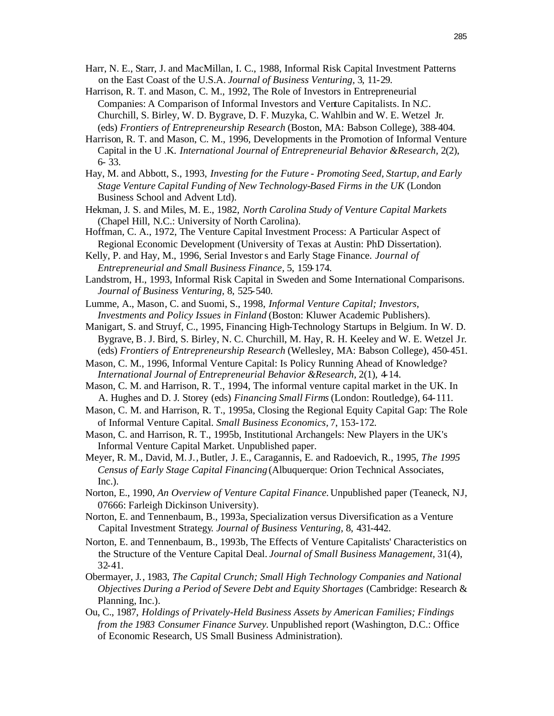- Harr, N. E., Starr, J. and MacMillan, I. C., 1988, Informal Risk Capital Investment Patterns on the East Coast of the U.S.A. *Journal of Business Venturing,* 3, 11-29.
- Harrison, R. T. and Mason, C. M., 1992, The Role of Investors in Entrepreneurial Companies: A Comparison of Informal Investors and Venture Capitalists. In N.C. Churchill, S. Birley, W. D. Bygrave, D. F. Muzyka, C. Wahlbin and W. E. Wetzel Jr. (eds) *Frontiers of Entrepreneurship Research* (Boston, MA: Babson College), 388-404.
- Harrison, R. T. and Mason, C. M., 1996, Developments in the Promotion of Informal Venture Capital in the U .K. *International Journal of Entrepreneurial Behavior &Research,* 2(2), 6- 33.
- Hay, M. and Abbott, S., 1993, *Investing for the Future - Promoting Seed, Startup, and Early Stage Venture Capital Funding of New Technology-Based Firms in the UK* (London Business School and Advent Ltd).
- Hekman, J. S. and Miles, M. E., 1982, *North Carolina Study of Venture Capital Markets* (Chapel Hill, N.C.: University of North Carolina).
- Hoffman, C. A., 1972, The Venture Capital Investment Process: A Particular Aspect of Regional Economic Development (University of Texas at Austin: PhD Dissertation).
- Kelly, P. and Hay, M., 1996, Serial Investors and Early Stage Finance. *Journal of Entrepreneurial and Small Business Finance,* 5, 159-174.
- Landstrom, H., 1993, Informal Risk Capital in Sweden and Some International Comparisons. *Journal of Business Venturing,* 8, 525-540.
- Lumme, A., Mason, C. and Suomi, S., 1998, *Informal Venture Capital; Investors, Investments and Policy Issues in Finland* (Boston: Kluwer Academic Publishers).
- Manigart, S. and Struyf, C., 1995, Financing High-Technology Startups in Belgium. In W. D. Bygrave, B. J. Bird, S. Birley, N. C. Churchill, M. Hay, R. H. Keeley and W. E. Wetzel Jr. (eds) *Frontiers of Entrepreneurship Research* (Wellesley, MA: Babson College), 450-451.
- Mason, C. M., 1996, Informal Venture Capital: Is Policy Running Ahead of Knowledge? *International Journal of Entrepreneurial Behavior &Research,* 2(1), 4-14.
- Mason, C. M. and Harrison, R. T., 1994, The informal venture capital market in the UK. In A. Hughes and D. J. Storey (eds) *Financing Small Firms* (London: Routledge), 64-111.
- Mason, C. M. and Harrison, R. T., 1995a, Closing the Regional Equity Capital Gap: The Role of Informal Venture Capital. *Small Business Economics,* 7, 153-172.
- Mason, C. and Harrison, R. T., 1995b, Institutional Archangels: New Players in the UK's Informal Venture Capital Market. Unpublished paper.
- Meyer, R. M., David, M. J.,Butler, J. E., Caragannis, E. and Radoevich, R., 1995, *The 1995 Census of Early Stage Capital Financing* (Albuquerque: Orion Technical Associates, Inc.).
- Norton, E., 1990, *An Overview of Venture Capital Finance.* Unpublished paper (Teaneck, NJ, 07666: Farleigh Dickinson University).
- Norton, E. and Tennenbaum, B., 1993a, Specialization versus Diversification as a Venture Capital Investment Strategy. *Journal of Business Venturing,* 8, 431-442.
- Norton, E. and Tennenbaum, B., 1993b, The Effects of Venture Capitalists' Characteristics on the Structure of the Venture Capital Deal. *Journal of Small Business Management,* 31(4), 32-41.
- Obermayer, J., 1983, *The Capital Crunch; Small High Technology Companies and National Objectives During a Period of Severe Debt and Equity Shortages* (Cambridge: Research & Planning, Inc.).
- Ou, C., 1987, *Holdings of Privately-Held Business Assets by American Families; Findings from the 1983 Consumer Finance Survey.* Unpublished report (Washington, D.C.: Office of Economic Research, US Small Business Administration).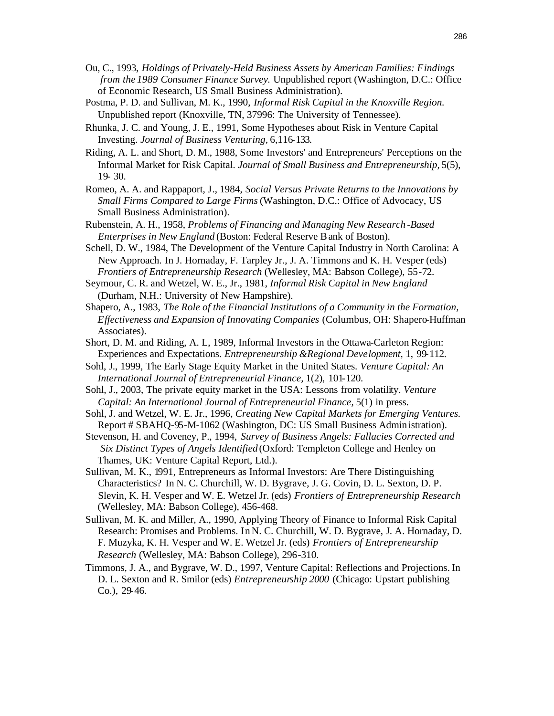- Ou, C., 1993, *Holdings of Privately-Held Business Assets by American Families: Findings from the 1989 Consumer Finance Survey.* Unpublished report (Washington, D.C.: Office of Economic Research, US Small Business Administration).
- Postma, P. D. and Sullivan, M. K., 1990, *Informal Risk Capital in the Knoxville Region.*  Unpublished report (Knoxville, TN, 37996: The University of Tennessee).
- Rhunka, J. C. and Young, J. E., 1991, Some Hypotheses about Risk in Venture Capital Investing. *Journal of Business Venturing,* 6,116-133.
- Riding, A. L. and Short, D. M., 1988, Some Investors' and Entrepreneurs' Perceptions on the Informal Market for Risk Capital. *Journal of Small Business and Entrepreneurship,* 5(5), 19- 30.
- Romeo, A. A. and Rappaport, J., 1984, *Social Versus Private Returns to the Innovations by Small Firms Compared to Large Firms* (Washington, D.C.: Office of Advocacy, US Small Business Administration).
- Rubenstein, A. H., 1958, *Problems of Financing and Managing New Research -Based Enterprises in New England* (Boston: Federal Reserve Bank of Boston).
- Schell, D. W., 1984, The Development of the Venture Capital Industry in North Carolina: A New Approach. In J. Hornaday, F. Tarpley Jr., J. A. Timmons and K. H. Vesper (eds) *Frontiers of Entrepreneurship Research* (Wellesley, MA: Babson College), 55-72.
- Seymour, C. R. and Wetzel, W. E., Jr., 1981, *Informal Risk Capital in New England* (Durham, N.H.: University of New Hampshire).
- Shapero, A., 1983, *The Role of the Financial Institutions of a Community in the Formation, Effectiveness and Expansion of Innovating Companies* (Columbus, OH: Shapero-Huffman Associates).
- Short, D. M. and Riding, A. L, 1989, Informal Investors in the Ottawa-Carleton Region: Experiences and Expectations. *Entrepreneurship &Regional Development,* 1, 99-112.
- Sohl, J., 1999, The Early Stage Equity Market in the United States. *Venture Capital: An International Journal of Entrepreneurial Finance,* 1(2), 101-120.
- Sohl, J., 2003, The private equity market in the USA: Lessons from volatility. *Venture Capital: An International Journal of Entrepreneurial Finance, 5(1) in press.*
- Sohl, J. and Wetzel, W. E. Jr., 1996, *Creating New Capital Markets for Emerging Ventures.* Report # SBAHQ-95-M-1062 (Washington, DC: US Small Business Admin istration).
- Stevenson, H. and Coveney, P., 1994, *Survey of Business Angels: Fallacies Corrected and Six Distinct Types of Angels Identified* (Oxford: Templeton College and Henley on Thames, UK: Venture Capital Report, Ltd.).
- Sullivan, M. K., 1991, Entrepreneurs as Informal Investors: Are There Distinguishing Characteristics? In N. C. Churchill, W. D. Bygrave, J. G. Covin, D. L. Sexton, D. P. Slevin, K. H. Vesper and W. E. Wetzel Jr. (eds) *Frontiers of Entrepreneurship Research* (Wellesley, MA: Babson College), 456-468.
- Sullivan, M. K. and Miller, A., 1990, Applying Theory of Finance to Informal Risk Capital Research: Promises and Problems. In N. C. Churchill, W. D. Bygrave, J. A. Hornaday, D. F. Muzyka, K. H. Vesper and W. E. Wetzel Jr. (eds) *Frontiers of Entrepreneurship Research* (Wellesley, MA: Babson College), 296-310.
- Timmons, J. A., and Bygrave, W. D., 1997, Venture Capital: Reflections and Projections. In D. L. Sexton and R. Smilor (eds) *Entrepreneurship 2000* (Chicago: Upstart publishing Co.), 29-46.